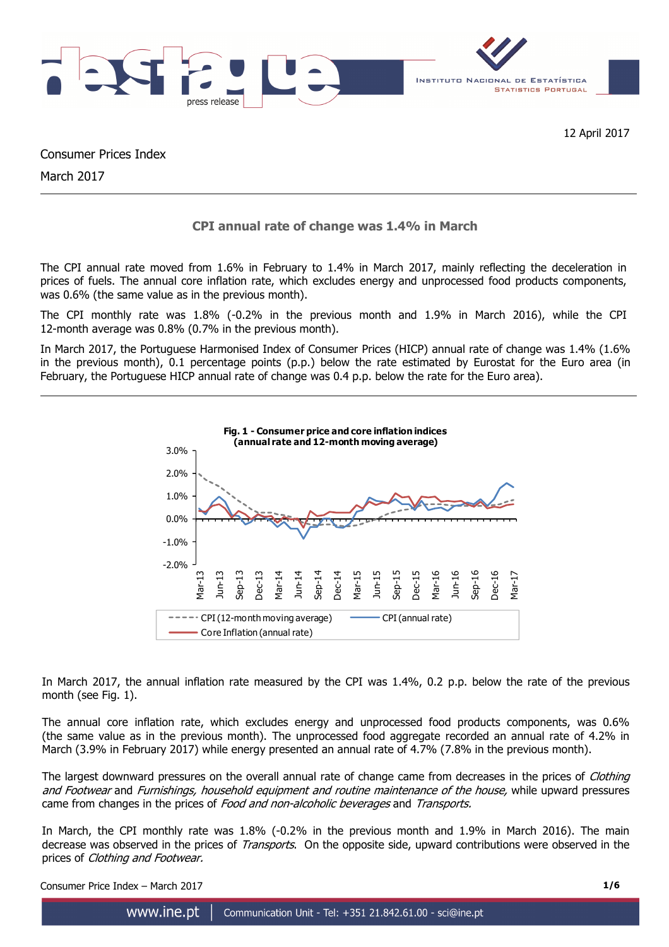

12 April 2017

Consumer Prices Index

March 2017

# **CPI annual rate of change was 1.4% in March**

The CPI annual rate moved from 1.6% in February to 1.4% in March 2017, mainly reflecting the deceleration in prices of fuels. The annual core inflation rate, which excludes energy and unprocessed food products components, was 0.6% (the same value as in the previous month).

The CPI monthly rate was 1.8% (-0.2% in the previous month and 1.9% in March 2016), while the CPI 12-month average was 0.8% (0.7% in the previous month).

In March 2017, the Portuguese Harmonised Index of Consumer Prices (HICP) annual rate of change was 1.4% (1.6% in the previous month), 0.1 percentage points (p.p.) below the rate estimated by Eurostat for the Euro area (in February, the Portuguese HICP annual rate of change was 0.4 p.p. below the rate for the Euro area).



In March 2017, the annual inflation rate measured by the CPI was 1.4%, 0.2 p.p. below the rate of the previous month (see Fig. 1).

The annual core inflation rate, which excludes energy and unprocessed food products components, was 0.6% (the same value as in the previous month). The unprocessed food aggregate recorded an annual rate of 4.2% in March (3.9% in February 2017) while energy presented an annual rate of 4.7% (7.8% in the previous month).

The largest downward pressures on the overall annual rate of change came from decreases in the prices of Clothing and Footwear and Furnishings, household equipment and routine maintenance of the house, while upward pressures came from changes in the prices of Food and non-alcoholic beverages and Transports.

In March, the CPI monthly rate was 1.8% (-0.2% in the previous month and 1.9% in March 2016). The main decrease was observed in the prices of *Transports*. On the opposite side, upward contributions were observed in the prices of Clothing and Footwear.

Consumer Price Index – March 2017 **1/6**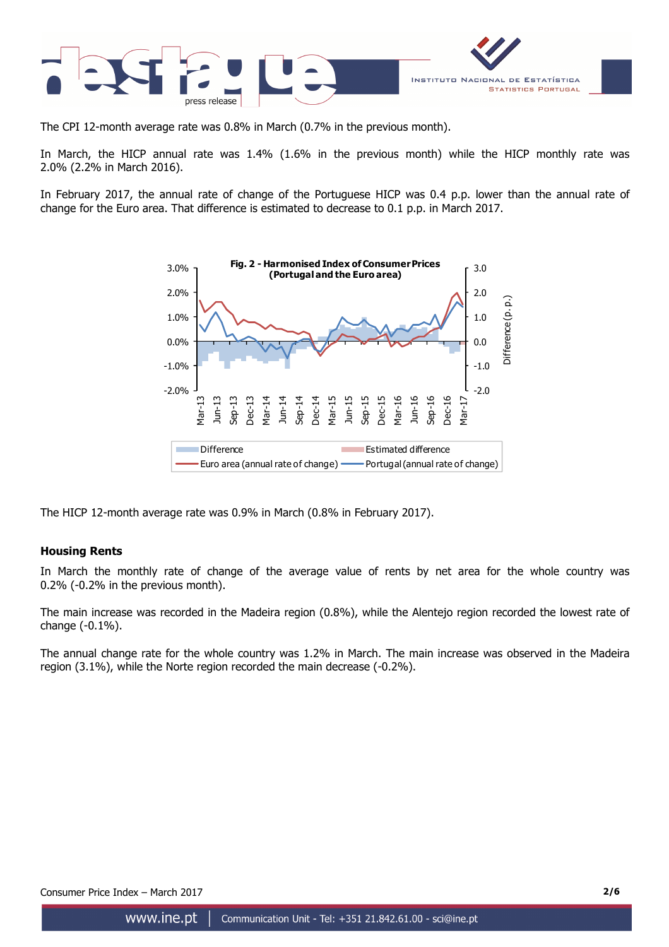

The CPI 12-month average rate was 0.8% in March (0.7% in the previous month).

In March, the HICP annual rate was 1.4% (1.6% in the previous month) while the HICP monthly rate was 2.0% (2.2% in March 2016).

In February 2017, the annual rate of change of the Portuguese HICP was 0.4 p.p. lower than the annual rate of change for the Euro area. That difference is estimated to decrease to 0.1 p.p. in March 2017.



The HICP 12-month average rate was 0.9% in March (0.8% in February 2017).

## **Housing Rents**

In March the monthly rate of change of the average value of rents by net area for the whole country was 0.2% (-0.2% in the previous month).

The main increase was recorded in the Madeira region (0.8%), while the Alentejo region recorded the lowest rate of change (-0.1%).

The annual change rate for the whole country was 1.2% in March. The main increase was observed in the Madeira region (3.1%), while the Norte region recorded the main decrease (-0.2%).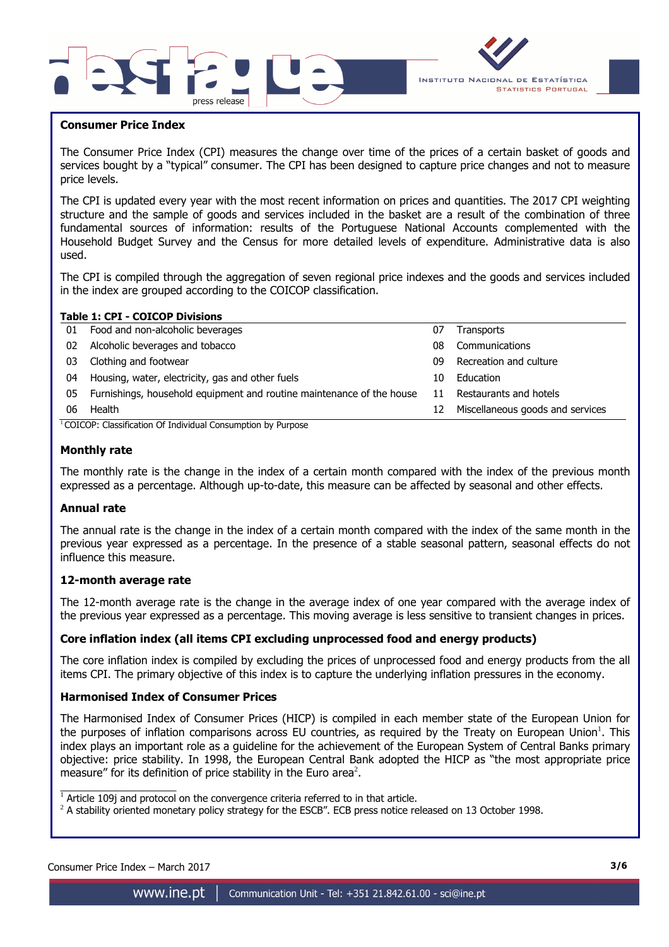



#### **Consumer Price Index**

I

The Consumer Price Index (CPI) measures the change over time of the prices of a certain basket of goods and services bought by a "typical" consumer. The CPI has been designed to capture price changes and not to measure price levels.

The CPI is updated every year with the most recent information on prices and quantities. The 2017 CPI weighting structure and the sample of goods and services included in the basket are a result of the combination of three fundamental sources of information: results of the Portuguese National Accounts complemented with the Household Budget Survey and the Census for more detailed levels of expenditure. Administrative data is also used.

The CPI is compiled through the aggregation of seven regional price indexes and the goods and services included in the index are grouped according to the COICOP classification.

|    | <b>Table 1: CPI - COICOP Divisions</b>                                |    |                                  |  |  |  |  |  |  |
|----|-----------------------------------------------------------------------|----|----------------------------------|--|--|--|--|--|--|
| 01 | Food and non-alcoholic beverages                                      | 07 | Transports                       |  |  |  |  |  |  |
| 02 | Alcoholic beverages and tobacco                                       | 08 | Communications                   |  |  |  |  |  |  |
| 03 | Clothing and footwear                                                 | 09 | Recreation and culture           |  |  |  |  |  |  |
| 04 | Housing, water, electricity, gas and other fuels                      | 10 | Education                        |  |  |  |  |  |  |
| 05 | Furnishings, household equipment and routine maintenance of the house | 11 | Restaurants and hotels           |  |  |  |  |  |  |
| 06 | Health                                                                | 12 | Miscellaneous goods and services |  |  |  |  |  |  |
|    |                                                                       |    |                                  |  |  |  |  |  |  |

<sup>1</sup> COICOP: Classification Of Individual Consumption by Purpose

#### **Monthly rate**

The monthly rate is the change in the index of a certain month compared with the index of the previous month expressed as a percentage. Although up-to-date, this measure can be affected by seasonal and other effects.

#### **Annual rate**

The annual rate is the change in the index of a certain month compared with the index of the same month in the previous year expressed as a percentage. In the presence of a stable seasonal pattern, seasonal effects do not influence this measure.

#### **12-month average rate**

The 12-month average rate is the change in the average index of one year compared with the average index of the previous year expressed as a percentage. This moving average is less sensitive to transient changes in prices.

## **Core inflation index (all items CPI excluding unprocessed food and energy products)**

The core inflation index is compiled by excluding the prices of unprocessed food and energy products from the all items CPI. The primary objective of this index is to capture the underlying inflation pressures in the economy.

#### **Harmonised Index of Consumer Prices**

The Harmonised Index of Consumer Prices (HICP) is compiled in each member state of the European Union for the purposes of inflation comparisons across EU countries, as required by the Treaty on European Union<sup>1</sup>. This index plays an important role as a guideline for the achievement of the European System of Central Banks primary objective: price stability. In 1998, the European Central Bank adopted the HICP as "the most appropriate price measure" for its definition of price stability in the Euro area<sup>2</sup>.

 $\overline{\phantom{a}}$  , and the set of the set of the set of the set of the set of the set of the set of the set of the set of the set of the set of the set of the set of the set of the set of the set of the set of the set of the s

 $1$  Article 109j and protocol on the convergence criteria referred to in that article.

 $^2$  A stability oriented monetary policy strategy for the ESCB". ECB press notice released on 13 October 1998.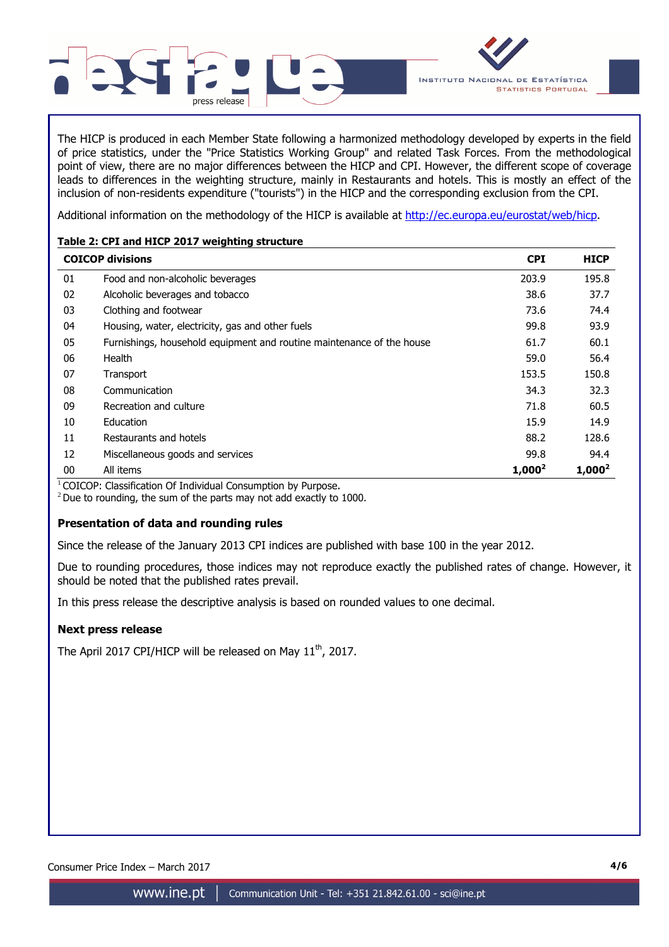

The HICP is produced in each Member State following a harmonized methodology developed by experts in the field of price statistics, under the "Price Statistics Working Group" and related Task Forces. From the methodological point of view, there are no major differences between the HICP and CPI. However, the different scope of coverage leads to differences in the weighting structure, mainly in Restaurants and hotels. This is mostly an effect of the inclusion of non-residents expenditure ("tourists") in the HICP and the corresponding exclusion from the CPI.

Additional information on the methodology of the HICP is available at http://ec.europa.eu/eurostat/web/hicp.

## **Table 2: CPI and HICP 2017 weighting structure**

|        | <b>COICOP divisions</b>                                               | <b>CPI</b> | <b>HICP</b> |
|--------|-----------------------------------------------------------------------|------------|-------------|
| 01     | Food and non-alcoholic beverages                                      | 203.9      | 195.8       |
| 02     | Alcoholic beverages and tobacco                                       | 38.6       | 37.7        |
| 03     | Clothing and footwear                                                 | 73.6       | 74.4        |
| 04     | Housing, water, electricity, gas and other fuels                      | 99.8       | 93.9        |
| 05     | Furnishings, household equipment and routine maintenance of the house | 61.7       | 60.1        |
| 06     | Health                                                                | 59.0       | 56.4        |
| 07     | Transport                                                             | 153.5      | 150.8       |
| 08     | Communication                                                         | 34.3       | 32.3        |
| 09     | Recreation and culture                                                | 71.8       | 60.5        |
| 10     | Education                                                             | 15.9       | 14.9        |
| 11     | Restaurants and hotels                                                | 88.2       | 128.6       |
| 12     | Miscellaneous goods and services                                      | 99.8       | 94.4        |
| $00\,$ | All items                                                             | $1,000^2$  | $1,000^2$   |

 $1$ COICOP: Classification Of Individual Consumption by Purpose.

 $2$  Due to rounding, the sum of the parts may not add exactly to 1000.

## **Presentation of data and rounding rules**

Since the release of the January 2013 CPI indices are published with base 100 in the year 2012.

Due to rounding procedures, those indices may not reproduce exactly the published rates of change. However, it should be noted that the published rates prevail.

In this press release the descriptive analysis is based on rounded values to one decimal.

## **Next press release**

The April 2017 CPI/HICP will be released on May 11<sup>th</sup>, 2017.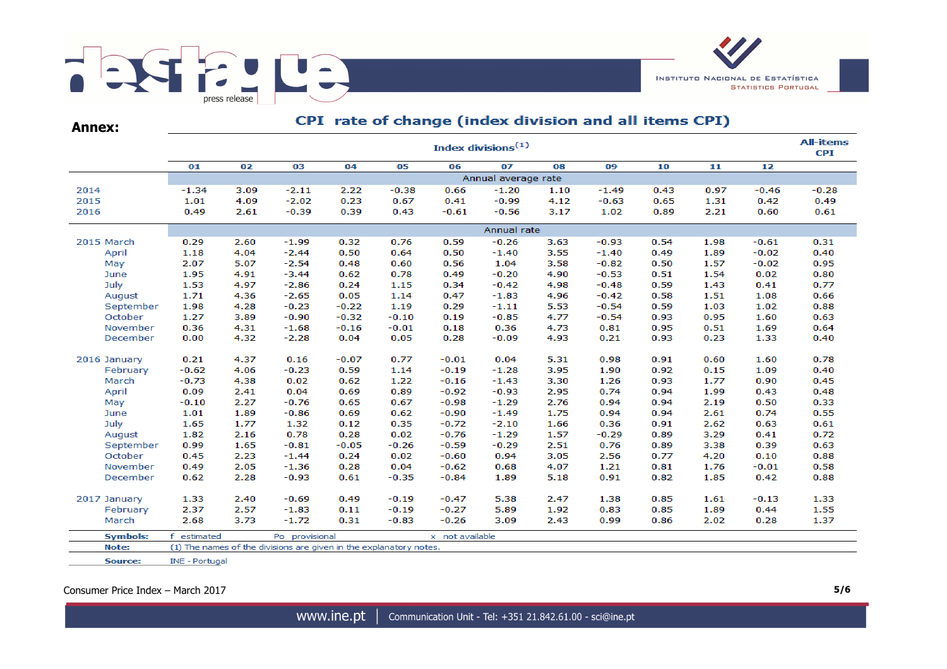

**Annex:**

## CPI rate of change (index division and all items CPI)

|                 | <b>All-items</b><br>Index divisions <sup>(1)</sup> |                                   |                                                                    |         |         |         |                     |      |         |      |      |         |         |  |  |
|-----------------|----------------------------------------------------|-----------------------------------|--------------------------------------------------------------------|---------|---------|---------|---------------------|------|---------|------|------|---------|---------|--|--|
|                 | 01                                                 | 02                                | 03                                                                 | 04      | 05      | 06      | 07                  | 08   | 09      | 10   | 11   | 12      |         |  |  |
|                 |                                                    |                                   |                                                                    |         |         |         | Annual average rate |      |         |      |      |         |         |  |  |
| 2014            | $-1.34$                                            | 3.09                              | $-2.11$                                                            | 2.22    | $-0.38$ | 0.66    | $-1.20$             | 1.10 | $-1.49$ | 0.43 | 0.97 | $-0.46$ | $-0.28$ |  |  |
| 2015            | 1.01                                               | 4.09                              | $-2.02$                                                            | 0.23    | 0.67    | 0.41    | $-0.99$             | 4.12 | $-0.63$ | 0.65 | 1.31 | 0.42    | 0.49    |  |  |
| 2016            | 0.49                                               | 2.61                              | $-0.39$                                                            | 0.39    | 0.43    | $-0.61$ | $-0.56$             | 3.17 | 1.02    | 0.89 | 2.21 | 0.60    | 0.61    |  |  |
|                 | Annual rate                                        |                                   |                                                                    |         |         |         |                     |      |         |      |      |         |         |  |  |
| 2015 March      | 0.29                                               | 2.60                              | $-1.99$                                                            | 0.32    | 0.76    | 0.59    | $-0.26$             | 3.63 | $-0.93$ | 0.54 | 1.98 | $-0.61$ | 0.31    |  |  |
| April           | 1.18                                               | 4.04                              | $-2.44$                                                            | 0.50    | 0.64    | 0.50    | $-1.40$             | 3.55 | $-1.40$ | 0.49 | 1.89 | $-0.02$ | 0.40    |  |  |
| May             | 2.07                                               | 5.07                              | $-2.54$                                                            | 0.48    | 0.60    | 0.56    | 1.04                | 3.58 | $-0.82$ | 0.50 | 1.57 | $-0.02$ | 0.95    |  |  |
| June            | 1.95                                               | 4.91                              | $-3.44$                                                            | 0.62    | 0.78    | 0.49    | $-0.20$             | 4.90 | $-0.53$ | 0.51 | 1.54 | 0.02    | 0.80    |  |  |
| July            | 1.53                                               | 4.97                              | $-2.86$                                                            | 0.24    | 1.15    | 0.34    | $-0.42$             | 4.98 | $-0.48$ | 0.59 | 1.43 | 0.41    | 0.77    |  |  |
| August          | 1.71                                               | 4.36                              | $-2.65$                                                            | 0.05    | 1.14    | 0.47    | $-1.83$             | 4.96 | $-0.42$ | 0.58 | 1.51 | 1.08    | 0.66    |  |  |
| September       | 1.98                                               | 4.28                              | $-0.23$                                                            | $-0.22$ | 1.19    | 0.29    | $-1.11$             | 5.53 | $-0.54$ | 0.59 | 1.03 | 1.02    | 0.88    |  |  |
| October         | 1.27                                               | 3.89                              | $-0.90$                                                            | $-0.32$ | $-0.10$ | 0.19    | $-0.85$             | 4.77 | $-0.54$ | 0.93 | 0.95 | 1.60    | 0.63    |  |  |
| November        | 0.36                                               | 4.31                              | $-1.68$                                                            | $-0.16$ | $-0.01$ | 0.18    | 0.36                | 4.73 | 0.81    | 0.95 | 0.51 | 1.69    | 0.64    |  |  |
| December        | 0.00                                               | 4.32                              | $-2.28$                                                            | 0.04    | 0.05    | 0.28    | $-0.09$             | 4.93 | 0.21    | 0.93 | 0.23 | 1.33    | 0.40    |  |  |
| 2016 January    | 0.21                                               | 4.37                              | 0.16                                                               | $-0.07$ | 0.77    | $-0.01$ | 0.04                | 5.31 | 0.98    | 0.91 | 0.60 | 1.60    | 0.78    |  |  |
| February        | $-0.62$                                            | 4.06                              | $-0.23$                                                            | 0.59    | 1.14    | $-0.19$ | $-1.28$             | 3.95 | 1.90    | 0.92 | 0.15 | 1.09    | 0.40    |  |  |
| March           | $-0.73$                                            | 4.38                              | 0.02                                                               | 0.62    | 1.22    | $-0.16$ | $-1.43$             | 3.30 | 1.26    | 0.93 | 1.77 | 0.90    | 0.45    |  |  |
| April           | 0.09                                               | 2.41                              | 0.04                                                               | 0.69    | 0.89    | $-0.92$ | $-0.93$             | 2.95 | 0.74    | 0.94 | 1.99 | 0.43    | 0.48    |  |  |
| May             | $-0.10$                                            | 2.27                              | $-0.76$                                                            | 0.65    | 0.67    | $-0.98$ | $-1.29$             | 2.76 | 0.94    | 0.94 | 2.19 | 0.50    | 0.33    |  |  |
| June            | 1.01                                               | 1.89                              | $-0.86$                                                            | 0.69    | 0.62    | $-0.90$ | $-1.49$             | 1.75 | 0.94    | 0.94 | 2.61 | 0.74    | 0.55    |  |  |
| July            | 1.65                                               | 1.77                              | 1.32                                                               | 0.12    | 0.35    | $-0.72$ | $-2.10$             | 1.66 | 0.36    | 0.91 | 2.62 | 0.63    | 0.61    |  |  |
| August          | 1.82                                               | 2.16                              | 0.78                                                               | 0.28    | 0.02    | $-0.76$ | $-1.29$             | 1.57 | $-0.29$ | 0.89 | 3.29 | 0.41    | 0.72    |  |  |
| September       | 0.99                                               | 1.65                              | $-0.81$                                                            | $-0.05$ | $-0.26$ | $-0.59$ | $-0.29$             | 2.51 | 0.76    | 0.89 | 3.38 | 0.39    | 0.63    |  |  |
| October         | 0.45                                               | 2.23                              | $-1.44$                                                            | 0.24    | 0.02    | $-0.60$ | 0.94                | 3.05 | 2.56    | 0.77 | 4.20 | 0.10    | 0.88    |  |  |
| November        | 0.49                                               | 2.05                              | $-1.36$                                                            | 0.28    | 0.04    | $-0.62$ | 0.68                | 4.07 | 1.21    | 0.81 | 1.76 | $-0.01$ | 0.58    |  |  |
| December        | 0.62                                               | 2.28                              | $-0.93$                                                            | 0.61    | $-0.35$ | $-0.84$ | 1.89                | 5.18 | 0.91    | 0.82 | 1.85 | 0.42    | 0.88    |  |  |
| 2017 January    | 1.33                                               | 2.40                              | $-0.69$                                                            | 0.49    | $-0.19$ | $-0.47$ | 5.38                | 2.47 | 1.38    | 0.85 | 1.61 | $-0.13$ | 1.33    |  |  |
| February        | 2.37                                               | 2.57                              | $-1.83$                                                            | 0.11    | $-0.19$ | $-0.27$ | 5.89                | 1.92 | 0.83    | 0.85 | 1.89 | 0.44    | 1.55    |  |  |
| March           | 2.68                                               | 3.73                              | $-1.72$                                                            | 0.31    | $-0.83$ | $-0.26$ | 3.09                | 2.43 | 0.99    | 0.86 | 2.02 | 0.28    | 1.37    |  |  |
| <b>Symbols:</b> | estimated<br>f                                     | Po provisional<br>x not available |                                                                    |         |         |         |                     |      |         |      |      |         |         |  |  |
| Note:           |                                                    |                                   | (1) The names of the divisions are given in the explanatory notes. |         |         |         |                     |      |         |      |      |         |         |  |  |
|                 |                                                    |                                   |                                                                    |         |         |         |                     |      |         |      |      |         |         |  |  |
| Source:         | INE - Portugal                                     |                                   |                                                                    |         |         |         |                     |      |         |      |      |         |         |  |  |

Consumer Price Index – March 2017 **5/6**